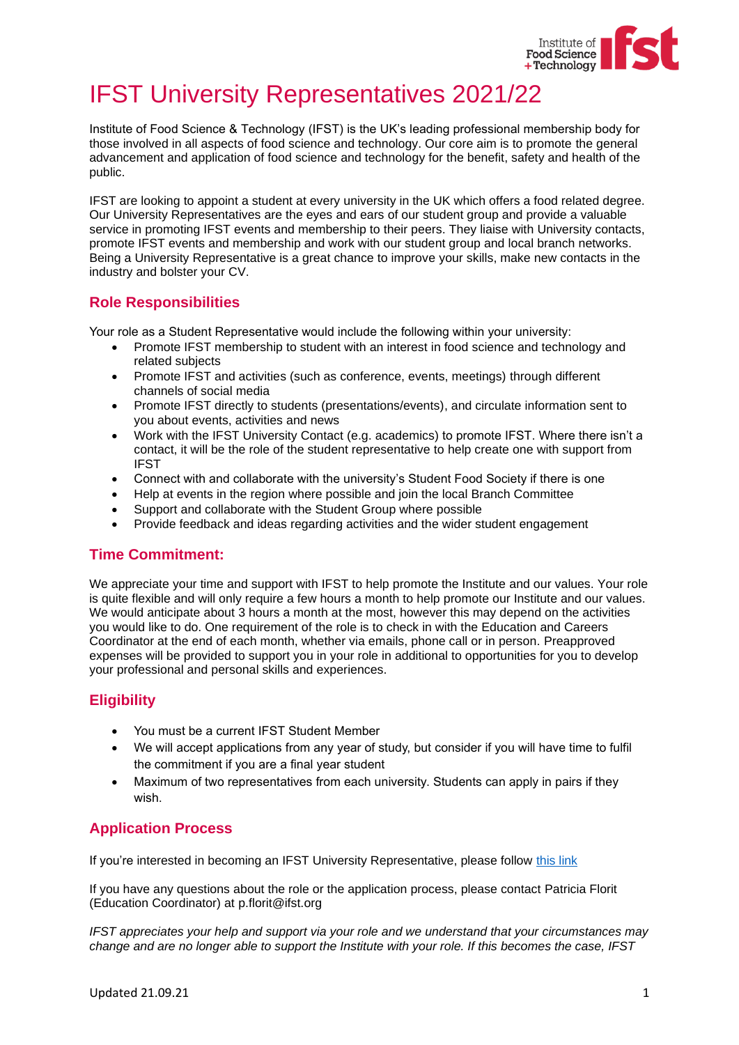

# IFST University Representatives 2021/22

Institute of Food Science & Technology (IFST) is the UK's leading professional membership body for those involved in all aspects of food science and technology. Our core aim is to promote the general advancement and application of food science and technology for the benefit, safety and health of the public.

IFST are looking to appoint a student at every university in the UK which offers a food related degree. Our University Representatives are the eyes and ears of our student group and provide a valuable service in promoting IFST events and membership to their peers. They liaise with University contacts, promote IFST events and membership and work with our student group and local branch networks. Being a University Representative is a great chance to improve your skills, make new contacts in the industry and bolster your CV.

## **Role Responsibilities**

Your role as a Student Representative would include the following within your university:

- Promote IFST membership to student with an interest in food science and technology and related subjects
- Promote IFST and activities (such as conference, events, meetings) through different channels of social media
- Promote IFST directly to students (presentations/events), and circulate information sent to you about events, activities and news
- Work with the IFST University Contact (e.g. academics) to promote IFST. Where there isn't a contact, it will be the role of the student representative to help create one with support from IFST
- Connect with and collaborate with the university's Student Food Society if there is one
- Help at events in the region where possible and join the local Branch Committee
- Support and collaborate with the Student Group where possible
- Provide feedback and ideas regarding activities and the wider student engagement

### **Time Commitment:**

We appreciate your time and support with IFST to help promote the Institute and our values. Your role is quite flexible and will only require a few hours a month to help promote our Institute and our values. We would anticipate about 3 hours a month at the most, however this may depend on the activities you would like to do. One requirement of the role is to check in with the Education and Careers Coordinator at the end of each month, whether via emails, phone call or in person. Preapproved expenses will be provided to support you in your role in additional to opportunities for you to develop your professional and personal skills and experiences.

### **Eligibility**

- You must be a current IFST Student Member
- We will accept applications from any year of study, but consider if you will have time to fulfil the commitment if you are a final year student
- Maximum of two representatives from each university. Students can apply in pairs if they wish.

### **Application Process**

If you're interested in becoming an IFST University Representative, please follow [this link](https://forms.office.com/Pages/ResponsePage.aspx?id=sj1Pn9c6sUioavPBcnwfnZnBuVlJphBOkjo5RkiXnTNUQVBQMDZXWU9WOFdOVVdWVlNKMDVPRllWOSQlQCN0PWcu)

If you have any questions about the role or the application process, please contact Patricia Florit (Education Coordinator) at p.florit@ifst.org

*IFST appreciates your help and support via your role and we understand that your circumstances may change and are no longer able to support the Institute with your role. If this becomes the case, IFST*